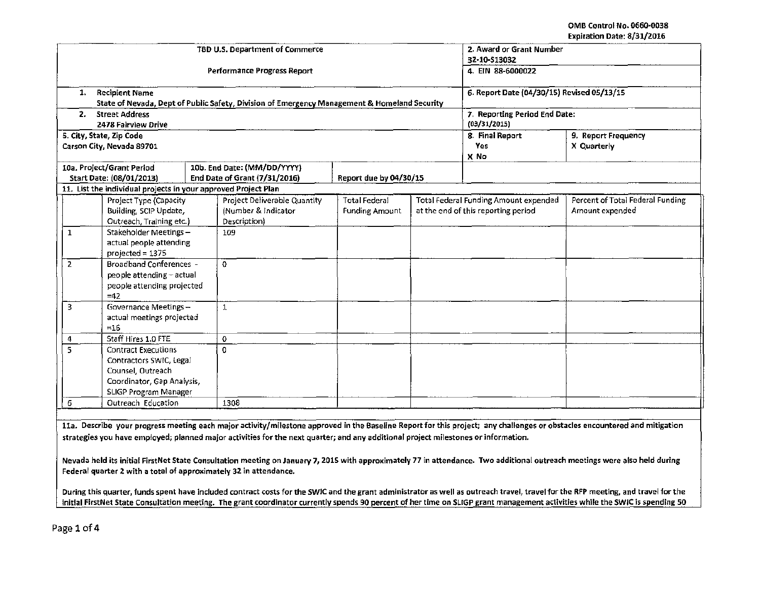| cyphagon pate, of still core      |                           |                                                                |  |                                                                                              |                               |                                            |                                       |                                  |  |  |
|-----------------------------------|---------------------------|----------------------------------------------------------------|--|----------------------------------------------------------------------------------------------|-------------------------------|--------------------------------------------|---------------------------------------|----------------------------------|--|--|
|                                   |                           |                                                                |  | TBD U.S. Department of Commerce                                                              |                               | 2. Award or Grant Number                   |                                       |                                  |  |  |
|                                   |                           |                                                                |  |                                                                                              | 32-10-S13032                  |                                            |                                       |                                  |  |  |
|                                   |                           |                                                                |  | Performance Progress Report                                                                  | 4. EIN 88-6000022             |                                            |                                       |                                  |  |  |
|                                   |                           |                                                                |  |                                                                                              |                               |                                            |                                       |                                  |  |  |
|                                   | 1.                        | <b>Recipient Name</b>                                          |  |                                                                                              |                               | 6. Report Date (04/30/15) Revised 05/13/15 |                                       |                                  |  |  |
|                                   |                           |                                                                |  | State of Nevada, Dept of Public Safety, Division of Emergency Management & Homeland Security |                               |                                            |                                       |                                  |  |  |
|                                   | 2.                        | <b>Street Address</b>                                          |  |                                                                                              | 7. Reporting Period End Date: |                                            |                                       |                                  |  |  |
|                                   |                           | 2478 Fairview Drive                                            |  |                                                                                              | (03/31/2015)                  |                                            |                                       |                                  |  |  |
|                                   |                           | 5. City, State, Zip Code                                       |  |                                                                                              |                               | 8. Final Report                            | 9. Report Frequency                   |                                  |  |  |
|                                   |                           | Carson City, Nevada 89701                                      |  |                                                                                              |                               | Yes                                        | X Quarterly                           |                                  |  |  |
|                                   |                           |                                                                |  |                                                                                              |                               | X No                                       |                                       |                                  |  |  |
|                                   |                           | 10a. Project/Grant Period                                      |  | 10b. End Date: (MM/DD/YYYY)                                                                  |                               |                                            |                                       |                                  |  |  |
|                                   |                           | Start Date: (08/01/2013)                                       |  | End Date of Grant (7/31/2016)                                                                | Report due by 04/30/15        |                                            |                                       |                                  |  |  |
|                                   |                           | 11. List the individual projects in your approved Project Plan |  |                                                                                              |                               |                                            |                                       |                                  |  |  |
|                                   |                           | Project Type (Capacity                                         |  | Project Deliverable Quantity                                                                 | Total Federal                 |                                            | Total Federal Funding Amount expended | Percent of Total Federal Funding |  |  |
|                                   |                           | Building, SCIP Update,                                         |  | (Number & Indicator                                                                          | <b>Funding Amount</b>         |                                            | at the end of this reporting period   | Amount expended                  |  |  |
|                                   |                           | Outreach, Training etc.)                                       |  | Description)                                                                                 |                               |                                            |                                       |                                  |  |  |
|                                   | 1                         | Stakeholder Meetings-                                          |  | 109                                                                                          |                               |                                            |                                       |                                  |  |  |
|                                   |                           | actual people attending                                        |  |                                                                                              |                               |                                            |                                       |                                  |  |  |
|                                   |                           | $projected = 1375$                                             |  |                                                                                              |                               |                                            |                                       |                                  |  |  |
|                                   | $\overline{2}$            | <b>Broadband Conferences -</b>                                 |  | 0                                                                                            |                               |                                            |                                       |                                  |  |  |
|                                   | people attending - actual |                                                                |  |                                                                                              |                               |                                            |                                       |                                  |  |  |
| people attending projected        |                           |                                                                |  |                                                                                              |                               |                                            |                                       |                                  |  |  |
| $=42$                             |                           |                                                                |  |                                                                                              |                               |                                            |                                       |                                  |  |  |
| 3.<br><b>Governance Meetings-</b> |                           |                                                                |  | $\ensuremath{\mathbb{1}}$                                                                    |                               |                                            |                                       |                                  |  |  |
| actual meetings projected         |                           |                                                                |  |                                                                                              |                               |                                            |                                       |                                  |  |  |
| $=16$                             |                           |                                                                |  |                                                                                              |                               |                                            |                                       |                                  |  |  |
|                                   | 4                         | Staff Hires 1.0 FTE                                            |  | 0                                                                                            |                               |                                            |                                       |                                  |  |  |
|                                   |                           | 5<br><b>Contract Executions</b>                                |  | 0                                                                                            |                               |                                            |                                       |                                  |  |  |
| Contractors SWIC, Legal           |                           |                                                                |  |                                                                                              |                               |                                            |                                       |                                  |  |  |
| Counsel, Outreach                 |                           |                                                                |  |                                                                                              |                               |                                            |                                       |                                  |  |  |
| Coordinator, Gap Analysis,        |                           |                                                                |  |                                                                                              |                               |                                            |                                       |                                  |  |  |
|                                   | SLIGP Program Manager     |                                                                |  |                                                                                              |                               |                                            |                                       |                                  |  |  |
| Outreach Education<br>6           |                           |                                                                |  | 1308                                                                                         |                               |                                            |                                       |                                  |  |  |
|                                   |                           |                                                                |  |                                                                                              |                               |                                            |                                       |                                  |  |  |

lla. Describe your progress meeting each major activity/milestone approved in the Baseline Report for this project; any challenges or obstacles encountered and mitigation strategies you have employed; planned major activities for the next quarter; and any additional project milestones or information.

Nevada held its initial FirstNet State Consultation meeting on January 7, 2015 with approximately 77 in attendance. Two additional outreach meetings were also held during Federal quarter 2 with a total of approximately 32 in attendance.

During this quarter, funds spent have included contract costs for the SWIC and the grant administrator as well as outreach travel, travel for the RFP meeting, and travel for the initial FirstNet State Consultation meeting. The grant coordinator currently spends 90 percent of her time on SUGP grant management activities while the SWlC is spending 50

Page 1 of 4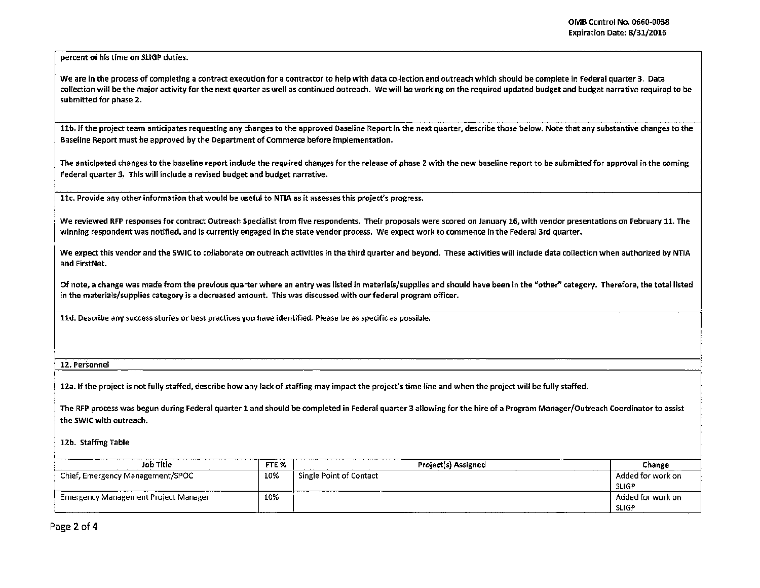percent of his time on SliGP duties.

We are in the process of completing a contract execution for a contractor to help with data collection and outreach which should be complete in Federal quarter 3. Data collection will be the major activity for the next quarter as well as continued outreach. We will be working on the required updated budget and budget narrative required to be submitted for phase 2.

11b. If the project team anticipates requesting any changes to the approved Baseline Report in the next quarter, describe those below. Note that any substantive changes to the Baseline Report must be approved by the Department of Commerce before implementation.

The anticipated changes to the baseline report include the required changes for the release of phase 2 with the new baseline report to be submitted for approval in the coming Federal quarter 3. This will include a revised budget and budget narrative.

llc. Provide any other information that would be useful to NTIA as it assesses this project's progress.

We reviewed RFP responses for contract Outreach Specialist from five respondents. Their proposals were scored on January 16, with vendor presentations on February 11. The winning respondent was notified, and is currently engaged in the state vendor process. We expect work to commence in the Federal 3rd quarter.

We expect this vendor and the SWIC to collaborate on outreach activities in the third quarter and beyond. These activities will include data collection when authorized by NTIA and FirstNet.

Of note, a change was made from the previous quarter where an entry was listed in materials/supplies and should have been in the "other" category. Therefore, the total listed in the materials/supplies category is a decreased amount. This was discussed with ourfederal program officer.

lld. Describe any success stories or best practices you have identified. Please be as specific as possible.

## 12. Personnel

12a. If the project is not fully staffed, describe how any lack of staffing may impact the project's time line and when the project will be fully staffed.

The RFP process was begun during Federal quarter 1 and should be completed in Federal quarter 3 allowing for the hire of a Program Manager/Outreach Coordinator to assist the SWIC with outreach.

12b. Staffing Table

| Job Title                            | FTE <sub>%</sub> | <b>Project(s) Assigned</b> | Change            |
|--------------------------------------|------------------|----------------------------|-------------------|
| Chief, Emergency Management/SPOC     | 10%              | Single Point of Contact    | Added for work on |
|                                      |                  |                            | <b>SLIGP</b>      |
| Emergency Management Project Manager | 10%              |                            | Added for work on |
|                                      |                  |                            | <b>SLIGP</b>      |

Page 2 of 4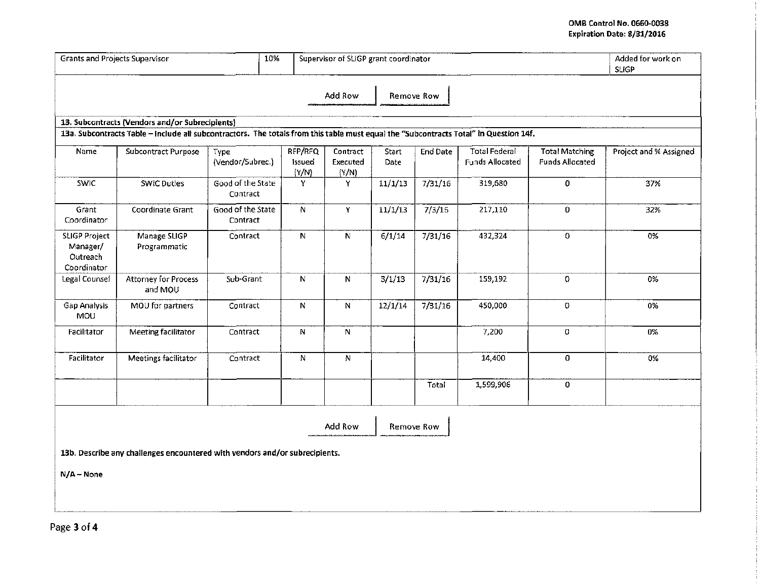## **OMB** Control No. 0660·0038 EKpiration Date: 8/31/2016

| <b>Grants and Projects Supervisor</b>                       |                                                                                                                                       | Supervisor of SLIGP grant coordinator |  | Added for work on<br><b>SLIGP</b> |                               |                            |                 |                                                |                                                 |                        |
|-------------------------------------------------------------|---------------------------------------------------------------------------------------------------------------------------------------|---------------------------------------|--|-----------------------------------|-------------------------------|----------------------------|-----------------|------------------------------------------------|-------------------------------------------------|------------------------|
|                                                             |                                                                                                                                       |                                       |  |                                   | Add Row                       |                            | Remove Row      |                                                |                                                 |                        |
|                                                             | 13. Subcontracts (Vendors and/or Subrecipients)                                                                                       |                                       |  |                                   |                               |                            |                 |                                                |                                                 |                        |
|                                                             | 13a. Subcontracts Table - Include all subcontractors. The totals from this table must equal the "Subcontracts Total" in Question 14f. |                                       |  |                                   |                               |                            |                 |                                                |                                                 |                        |
| Name                                                        | <b>Subcontract Purpose</b>                                                                                                            | Type<br>(Vendor/Subrec.)              |  | RFP/RFQ<br>Issued<br>(Y/N)        | Contract<br>Executed<br>(Y/N) | <b>Start</b><br>Date       | <b>End Date</b> | <b>Total Federal</b><br><b>Funds Allocated</b> | <b>Total Matching</b><br><b>Funds Allocated</b> | Project and % Assigned |
| <b>SWIC</b>                                                 | <b>SWIC Duties</b>                                                                                                                    | Good of the State<br>Contract         |  | Y                                 | Y.                            | 11/1/13                    | 7/31/16         | 319,680                                        | 0                                               | 37%                    |
| Grant<br>Coordinator                                        | Coordinate Grant                                                                                                                      | Good of the State<br>Contract         |  | N                                 | Y.                            | 11/1/13                    | 7/3/16          | 217,110                                        | 0                                               | 32%                    |
| <b>SLIGP Project</b><br>Manager/<br>Outreach<br>Coordinator | Manage SLIGP<br>Programmatic                                                                                                          | Contract                              |  | N                                 | ${\bf N}$                     | 6/1/14                     | 7/31/16         | 432,324                                        | 0                                               | 0%                     |
| Legal Counsei                                               | <b>Attorney for Process</b><br>and MOU                                                                                                | Sub-Grant                             |  | N                                 | N                             | $\frac{1}{3}/\frac{1}{13}$ | 7/31/16         | 159,192                                        | $\Omega$                                        | 0%                     |
| Gap Analysis<br><b>MOU</b>                                  | MOU for partners                                                                                                                      | Contract                              |  | ${\sf N}$                         | N                             | 12/1/14                    | 7/31/16         | 450,000                                        | $\mathbf 0$                                     | 0%                     |
| Facilitator                                                 | Meeting facilitator                                                                                                                   | Contract                              |  | $\mathsf N$                       | N                             |                            |                 | 7,200                                          | 0                                               | 0%                     |
| Facilitator                                                 | Meetings facilitator                                                                                                                  | Contract                              |  | N                                 | $\boldsymbol{\mathsf{N}}$     |                            |                 | 14,400                                         | 0                                               | 0%                     |
|                                                             |                                                                                                                                       |                                       |  |                                   |                               |                            | Total           | 1,599,906                                      | 0                                               |                        |
|                                                             |                                                                                                                                       |                                       |  |                                   | Add Row                       |                            | Remove Row      |                                                |                                                 |                        |
|                                                             | 13b. Describe any challenges encountered with vendors and/or subrecipients.                                                           |                                       |  |                                   |                               |                            |                 |                                                |                                                 |                        |
| $N/A - None$                                                |                                                                                                                                       |                                       |  |                                   |                               |                            |                 |                                                |                                                 |                        |